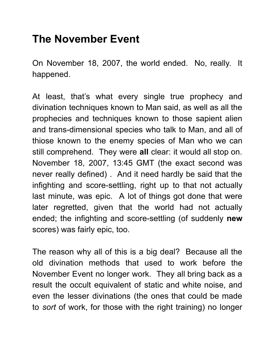## **The November Event**

On November 18, 2007, the world ended. No, really. It happened.

At least, that's what every single true prophecy and divination techniques known to Man said, as well as all the prophecies and techniques known to those sapient alien and trans-dimensional species who talk to Man, and all of thiose known to the enemy species of Man who we can still comprehend. They were **all** clear: it would all stop on. November 18, 2007, 13:45 GMT (the exact second was never really defined) . And it need hardly be said that the infighting and score-settling, right up to that not actually last minute, was epic. A lot of things got done that were later regretted, given that the world had not actually ended; the infighting and score-settling (of suddenly **new** scores) was fairly epic, too.

The reason why all of this is a big deal? Because all the old divination methods that used to work before the November Event no longer work. They all bring back as a result the occult equivalent of static and white noise, and even the lesser divinations (the ones that could be made to *sort* of work, for those with the right training) no longer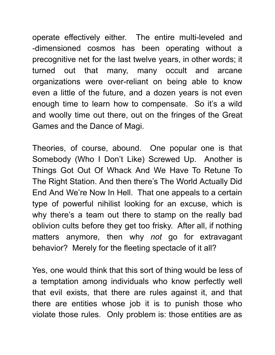operate effectively either. The entire multi-leveled and -dimensioned cosmos has been operating without a precognitive net for the last twelve years, in other words; it turned out that many, many occult and arcane organizations were over-reliant on being able to know even a little of the future, and a dozen years is not even enough time to learn how to compensate. So it's a wild and woolly time out there, out on the fringes of the Great Games and the Dance of Magi.

Theories, of course, abound. One popular one is that Somebody (Who I Don't Like) Screwed Up. Another is Things Got Out Of Whack And We Have To Retune To The Right Station. And then there's The World Actually Did End And We're Now In Hell. That one appeals to a certain type of powerful nihilist looking for an excuse, which is why there's a team out there to stamp on the really bad oblivion cults before they get too frisky. After all, if nothing matters anymore, then why *not* go for extravagant behavior? Merely for the fleeting spectacle of it all?

Yes, one would think that this sort of thing would be less of a temptation among individuals who know perfectly well that evil exists, that there are rules against it, and that there are entities whose job it is to punish those who violate those rules. Only problem is: those entities are as